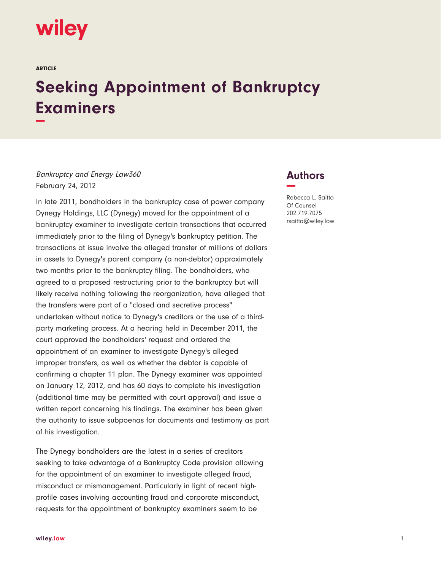

ARTICLE

## **Seeking Appointment of Bankruptcy Examiners −**

Bankruptcy and Energy Law360 February 24, 2012

In late 2011, bondholders in the bankruptcy case of power company Dynegy Holdings, LLC (Dynegy) moved for the appointment of a bankruptcy examiner to investigate certain transactions that occurred immediately prior to the filing of Dynegy's bankruptcy petition. The transactions at issue involve the alleged transfer of millions of dollars in assets to Dynegy's parent company (a non-debtor) approximately two months prior to the bankruptcy filing. The bondholders, who agreed to a proposed restructuring prior to the bankruptcy but will likely receive nothing following the reorganization, have alleged that the transfers were part of a "closed and secretive process" undertaken without notice to Dynegy's creditors or the use of a thirdparty marketing process. At a hearing held in December 2011, the court approved the bondholders' request and ordered the appointment of an examiner to investigate Dynegy's alleged improper transfers, as well as whether the debtor is capable of confirming a chapter 11 plan. The Dynegy examiner was appointed on January 12, 2012, and has 60 days to complete his investigation (additional time may be permitted with court approval) and issue a written report concerning his findings. The examiner has been given the authority to issue subpoenas for documents and testimony as part of his investigation.

The Dynegy bondholders are the latest in a series of creditors seeking to take advantage of a Bankruptcy Code provision allowing for the appointment of an examiner to investigate alleged fraud, misconduct or mismanagement. Particularly in light of recent highprofile cases involving accounting fraud and corporate misconduct, requests for the appointment of bankruptcy examiners seem to be

## **Authors −**

Rebecca L. Saitta Of Counsel 202.719.7075 rsaitta@wiley.law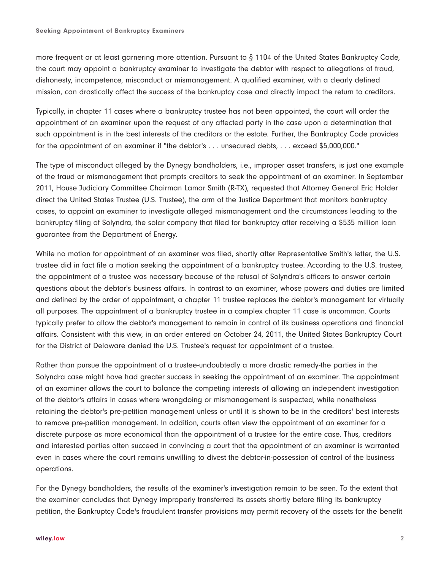more frequent or at least garnering more attention. Pursuant to § 1104 of the United States Bankruptcy Code, the court may appoint a bankruptcy examiner to investigate the debtor with respect to allegations of fraud, dishonesty, incompetence, misconduct or mismanagement. A qualified examiner, with a clearly defined mission, can drastically affect the success of the bankruptcy case and directly impact the return to creditors.

Typically, in chapter 11 cases where a bankruptcy trustee has not been appointed, the court will order the appointment of an examiner upon the request of any affected party in the case upon a determination that such appointment is in the best interests of the creditors or the estate. Further, the Bankruptcy Code provides for the appointment of an examiner if "the debtor's . . . unsecured debts, . . . exceed \$5,000,000."

The type of misconduct alleged by the Dynegy bondholders, i.e., improper asset transfers, is just one example of the fraud or mismanagement that prompts creditors to seek the appointment of an examiner. In September 2011, House Judiciary Committee Chairman Lamar Smith (R-TX), requested that Attorney General Eric Holder direct the United States Trustee (U.S. Trustee), the arm of the Justice Department that monitors bankruptcy cases, to appoint an examiner to investigate alleged mismanagement and the circumstances leading to the bankruptcy filing of Solyndra, the solar company that filed for bankruptcy after receiving a \$535 million loan guarantee from the Department of Energy.

While no motion for appointment of an examiner was filed, shortly after Representative Smith's letter, the U.S. trustee did in fact file a motion seeking the appointment of a bankruptcy trustee. According to the U.S. trustee, the appointment of a trustee was necessary because of the refusal of Solyndra's officers to answer certain questions about the debtor's business affairs. In contrast to an examiner, whose powers and duties are limited and defined by the order of appointment, a chapter 11 trustee replaces the debtor's management for virtually all purposes. The appointment of a bankruptcy trustee in a complex chapter 11 case is uncommon. Courts typically prefer to allow the debtor's management to remain in control of its business operations and financial affairs. Consistent with this view, in an order entered on October 24, 2011, the United States Bankruptcy Court for the District of Delaware denied the U.S. Trustee's request for appointment of a trustee.

Rather than pursue the appointment of a trustee-undoubtedly a more drastic remedy-the parties in the Solyndra case might have had greater success in seeking the appointment of an examiner. The appointment of an examiner allows the court to balance the competing interests of allowing an independent investigation of the debtor's affairs in cases where wrongdoing or mismanagement is suspected, while nonetheless retaining the debtor's pre-petition management unless or until it is shown to be in the creditors' best interests to remove pre-petition management. In addition, courts often view the appointment of an examiner for a discrete purpose as more economical than the appointment of a trustee for the entire case. Thus, creditors and interested parties often succeed in convincing a court that the appointment of an examiner is warranted even in cases where the court remains unwilling to divest the debtor-in-possession of control of the business operations.

For the Dynegy bondholders, the results of the examiner's investigation remain to be seen. To the extent that the examiner concludes that Dynegy improperly transferred its assets shortly before filing its bankruptcy petition, the Bankruptcy Code's fraudulent transfer provisions may permit recovery of the assets for the benefit